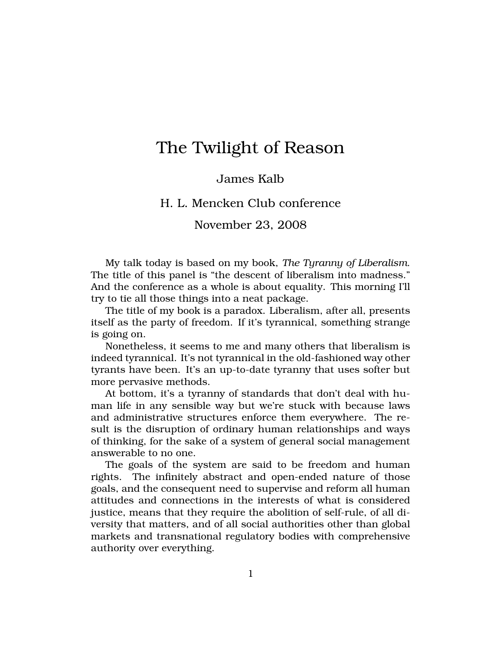# The Twilight of Reason

## James Kalb

### H. L. Mencken Club conference

November 23, 2008

My talk today is based on my book, *The Tyranny of Liberalism*. The title of this panel is "the descent of liberalism into madness." And the conference as a whole is about equality. This morning I'll try to tie all those things into a neat package.

The title of my book is a paradox. Liberalism, after all, presents itself as the party of freedom. If it's tyrannical, something strange is going on.

Nonetheless, it seems to me and many others that liberalism is indeed tyrannical. It's not tyrannical in the old-fashioned way other tyrants have been. It's an up-to-date tyranny that uses softer but more pervasive methods.

At bottom, it's a tyranny of standards that don't deal with human life in any sensible way but we're stuck with because laws and administrative structures enforce them everywhere. The result is the disruption of ordinary human relationships and ways of thinking, for the sake of a system of general social management answerable to no one.

The goals of the system are said to be freedom and human rights. The infinitely abstract and open-ended nature of those goals, and the consequent need to supervise and reform all human attitudes and connections in the interests of what is considered justice, means that they require the abolition of self-rule, of all diversity that matters, and of all social authorities other than global markets and transnational regulatory bodies with comprehensive authority over everything.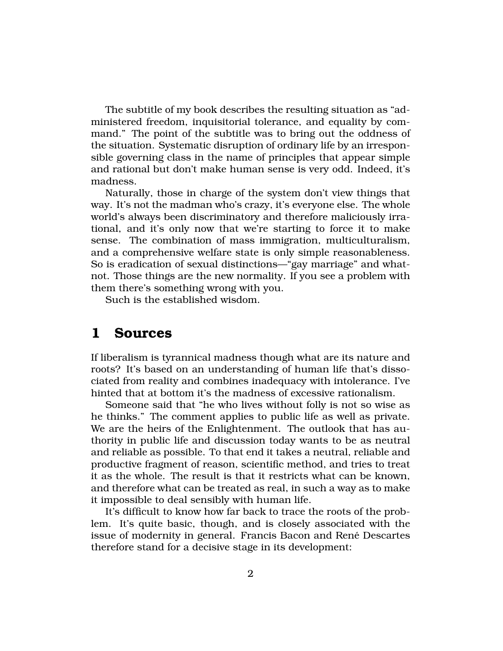The subtitle of my book describes the resulting situation as "administered freedom, inquisitorial tolerance, and equality by command." The point of the subtitle was to bring out the oddness of the situation. Systematic disruption of ordinary life by an irresponsible governing class in the name of principles that appear simple and rational but don't make human sense is very odd. Indeed, it's madness.

Naturally, those in charge of the system don't view things that way. It's not the madman who's crazy, it's everyone else. The whole world's always been discriminatory and therefore maliciously irrational, and it's only now that we're starting to force it to make sense. The combination of mass immigration, multiculturalism, and a comprehensive welfare state is only simple reasonableness. So is eradication of sexual distinctions—"gay marriage" and whatnot. Those things are the new normality. If you see a problem with them there's something wrong with you.

Such is the established wisdom.

## **1 Sources**

If liberalism is tyrannical madness though what are its nature and roots? It's based on an understanding of human life that's dissociated from reality and combines inadequacy with intolerance. I've hinted that at bottom it's the madness of excessive rationalism.

Someone said that "he who lives without folly is not so wise as he thinks." The comment applies to public life as well as private. We are the heirs of the Enlightenment. The outlook that has authority in public life and discussion today wants to be as neutral and reliable as possible. To that end it takes a neutral, reliable and productive fragment of reason, scientific method, and tries to treat it as the whole. The result is that it restricts what can be known, and therefore what can be treated as real, in such a way as to make it impossible to deal sensibly with human life.

It's difficult to know how far back to trace the roots of the problem. It's quite basic, though, and is closely associated with the issue of modernity in general. Francis Bacon and Rene Descartes ´ therefore stand for a decisive stage in its development: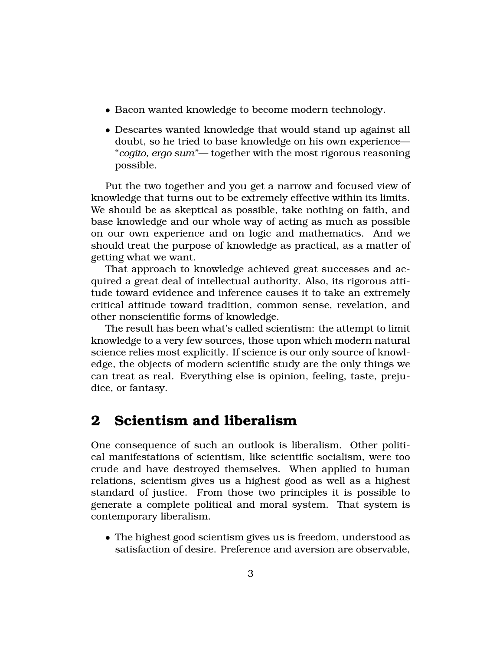- Bacon wanted knowledge to become modern technology.
- Descartes wanted knowledge that would stand up against all doubt, so he tried to base knowledge on his own experience— "*cogito, ergo sum"*— together with the most rigorous reasoning possible.

Put the two together and you get a narrow and focused view of knowledge that turns out to be extremely effective within its limits. We should be as skeptical as possible, take nothing on faith, and base knowledge and our whole way of acting as much as possible on our own experience and on logic and mathematics. And we should treat the purpose of knowledge as practical, as a matter of getting what we want.

That approach to knowledge achieved great successes and acquired a great deal of intellectual authority. Also, its rigorous attitude toward evidence and inference causes it to take an extremely critical attitude toward tradition, common sense, revelation, and other nonscientific forms of knowledge.

The result has been what's called scientism: the attempt to limit knowledge to a very few sources, those upon which modern natural science relies most explicitly. If science is our only source of knowledge, the objects of modern scientific study are the only things we can treat as real. Everything else is opinion, feeling, taste, prejudice, or fantasy.

## **2 Scientism and liberalism**

One consequence of such an outlook is liberalism. Other political manifestations of scientism, like scientific socialism, were too crude and have destroyed themselves. When applied to human relations, scientism gives us a highest good as well as a highest standard of justice. From those two principles it is possible to generate a complete political and moral system. That system is contemporary liberalism.

• The highest good scientism gives us is freedom, understood as satisfaction of desire. Preference and aversion are observable,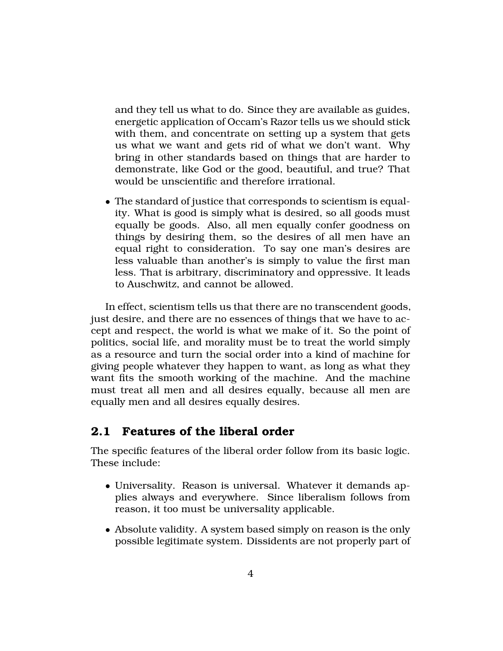and they tell us what to do. Since they are available as guides, energetic application of Occam's Razor tells us we should stick with them, and concentrate on setting up a system that gets us what we want and gets rid of what we don't want. Why bring in other standards based on things that are harder to demonstrate, like God or the good, beautiful, and true? That would be unscientific and therefore irrational.

• The standard of justice that corresponds to scientism is equality. What is good is simply what is desired, so all goods must equally be goods. Also, all men equally confer goodness on things by desiring them, so the desires of all men have an equal right to consideration. To say one man's desires are less valuable than another's is simply to value the first man less. That is arbitrary, discriminatory and oppressive. It leads to Auschwitz, and cannot be allowed.

In effect, scientism tells us that there are no transcendent goods, just desire, and there are no essences of things that we have to accept and respect, the world is what we make of it. So the point of politics, social life, and morality must be to treat the world simply as a resource and turn the social order into a kind of machine for giving people whatever they happen to want, as long as what they want fits the smooth working of the machine. And the machine must treat all men and all desires equally, because all men are equally men and all desires equally desires.

## **2.1 Features of the liberal order**

The specific features of the liberal order follow from its basic logic. These include:

- Universality. Reason is universal. Whatever it demands applies always and everywhere. Since liberalism follows from reason, it too must be universality applicable.
- Absolute validity. A system based simply on reason is the only possible legitimate system. Dissidents are not properly part of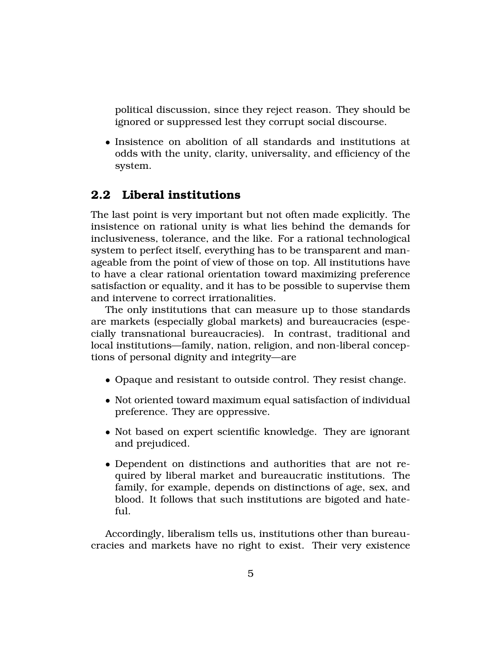political discussion, since they reject reason. They should be ignored or suppressed lest they corrupt social discourse.

• Insistence on abolition of all standards and institutions at odds with the unity, clarity, universality, and efficiency of the system.

## **2.2 Liberal institutions**

The last point is very important but not often made explicitly. The insistence on rational unity is what lies behind the demands for inclusiveness, tolerance, and the like. For a rational technological system to perfect itself, everything has to be transparent and manageable from the point of view of those on top. All institutions have to have a clear rational orientation toward maximizing preference satisfaction or equality, and it has to be possible to supervise them and intervene to correct irrationalities.

The only institutions that can measure up to those standards are markets (especially global markets) and bureaucracies (especially transnational bureaucracies). In contrast, traditional and local institutions—family, nation, religion, and non-liberal conceptions of personal dignity and integrity—are

- Opaque and resistant to outside control. They resist change.
- Not oriented toward maximum equal satisfaction of individual preference. They are oppressive.
- Not based on expert scientific knowledge. They are ignorant and prejudiced.
- Dependent on distinctions and authorities that are not required by liberal market and bureaucratic institutions. The family, for example, depends on distinctions of age, sex, and blood. It follows that such institutions are bigoted and hateful.

Accordingly, liberalism tells us, institutions other than bureaucracies and markets have no right to exist. Their very existence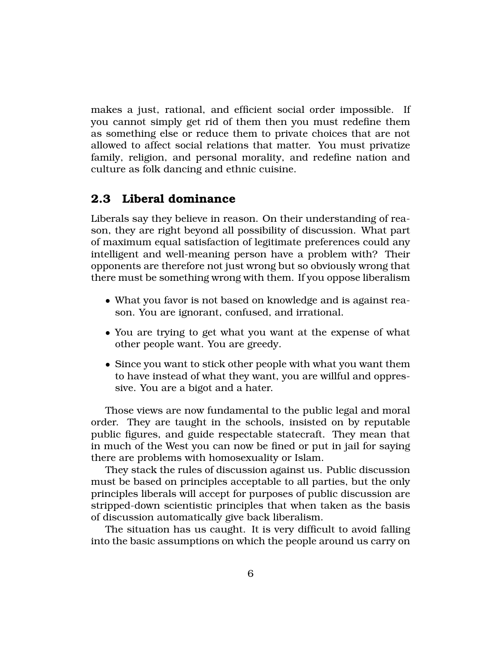makes a just, rational, and efficient social order impossible. If you cannot simply get rid of them then you must redefine them as something else or reduce them to private choices that are not allowed to affect social relations that matter. You must privatize family, religion, and personal morality, and redefine nation and culture as folk dancing and ethnic cuisine.

## **2.3 Liberal dominance**

Liberals say they believe in reason. On their understanding of reason, they are right beyond all possibility of discussion. What part of maximum equal satisfaction of legitimate preferences could any intelligent and well-meaning person have a problem with? Their opponents are therefore not just wrong but so obviously wrong that there must be something wrong with them. If you oppose liberalism

- What you favor is not based on knowledge and is against reason. You are ignorant, confused, and irrational.
- You are trying to get what you want at the expense of what other people want. You are greedy.
- Since you want to stick other people with what you want them to have instead of what they want, you are willful and oppressive. You are a bigot and a hater.

Those views are now fundamental to the public legal and moral order. They are taught in the schools, insisted on by reputable public figures, and guide respectable statecraft. They mean that in much of the West you can now be fined or put in jail for saying there are problems with homosexuality or Islam.

They stack the rules of discussion against us. Public discussion must be based on principles acceptable to all parties, but the only principles liberals will accept for purposes of public discussion are stripped-down scientistic principles that when taken as the basis of discussion automatically give back liberalism.

The situation has us caught. It is very difficult to avoid falling into the basic assumptions on which the people around us carry on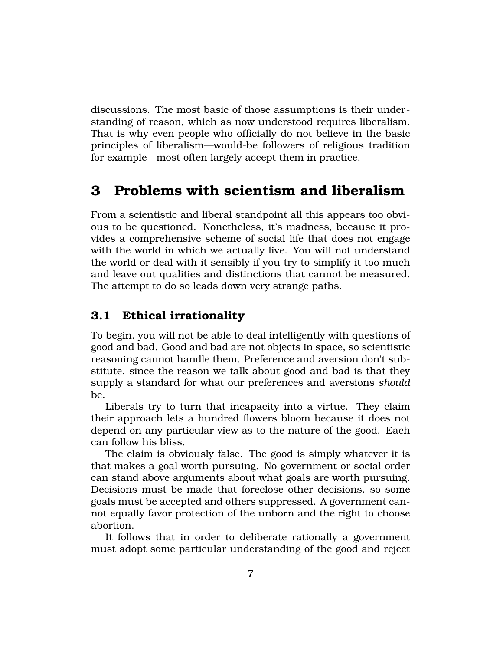discussions. The most basic of those assumptions is their understanding of reason, which as now understood requires liberalism. That is why even people who officially do not believe in the basic principles of liberalism—would-be followers of religious tradition for example—most often largely accept them in practice.

## **3 Problems with scientism and liberalism**

From a scientistic and liberal standpoint all this appears too obvious to be questioned. Nonetheless, it's madness, because it provides a comprehensive scheme of social life that does not engage with the world in which we actually live. You will not understand the world or deal with it sensibly if you try to simplify it too much and leave out qualities and distinctions that cannot be measured. The attempt to do so leads down very strange paths.

## **3.1 Ethical irrationality**

To begin, you will not be able to deal intelligently with questions of good and bad. Good and bad are not objects in space, so scientistic reasoning cannot handle them. Preference and aversion don't substitute, since the reason we talk about good and bad is that they supply a standard for what our preferences and aversions *should* be.

Liberals try to turn that incapacity into a virtue. They claim their approach lets a hundred flowers bloom because it does not depend on any particular view as to the nature of the good. Each can follow his bliss.

The claim is obviously false. The good is simply whatever it is that makes a goal worth pursuing. No government or social order can stand above arguments about what goals are worth pursuing. Decisions must be made that foreclose other decisions, so some goals must be accepted and others suppressed. A government cannot equally favor protection of the unborn and the right to choose abortion.

It follows that in order to deliberate rationally a government must adopt some particular understanding of the good and reject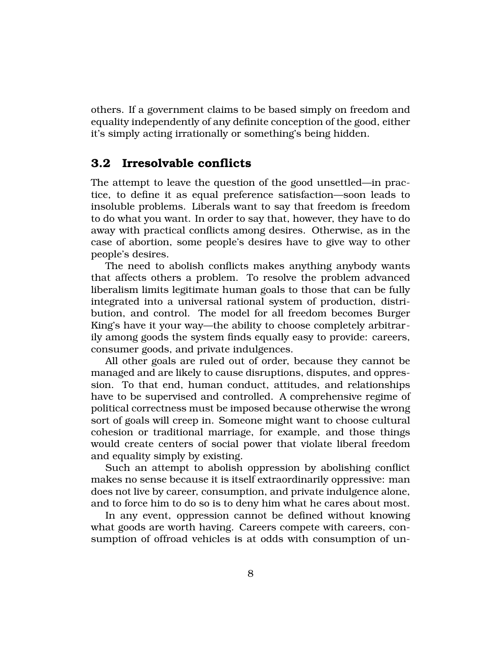others. If a government claims to be based simply on freedom and equality independently of any definite conception of the good, either it's simply acting irrationally or something's being hidden.

## **3.2 Irresolvable conflicts**

The attempt to leave the question of the good unsettled—in practice, to define it as equal preference satisfaction—soon leads to insoluble problems. Liberals want to say that freedom is freedom to do what you want. In order to say that, however, they have to do away with practical conflicts among desires. Otherwise, as in the case of abortion, some people's desires have to give way to other people's desires.

The need to abolish conflicts makes anything anybody wants that affects others a problem. To resolve the problem advanced liberalism limits legitimate human goals to those that can be fully integrated into a universal rational system of production, distribution, and control. The model for all freedom becomes Burger King's have it your way—the ability to choose completely arbitrarily among goods the system finds equally easy to provide: careers, consumer goods, and private indulgences.

All other goals are ruled out of order, because they cannot be managed and are likely to cause disruptions, disputes, and oppression. To that end, human conduct, attitudes, and relationships have to be supervised and controlled. A comprehensive regime of political correctness must be imposed because otherwise the wrong sort of goals will creep in. Someone might want to choose cultural cohesion or traditional marriage, for example, and those things would create centers of social power that violate liberal freedom and equality simply by existing.

Such an attempt to abolish oppression by abolishing conflict makes no sense because it is itself extraordinarily oppressive: man does not live by career, consumption, and private indulgence alone, and to force him to do so is to deny him what he cares about most.

In any event, oppression cannot be defined without knowing what goods are worth having. Careers compete with careers, consumption of offroad vehicles is at odds with consumption of un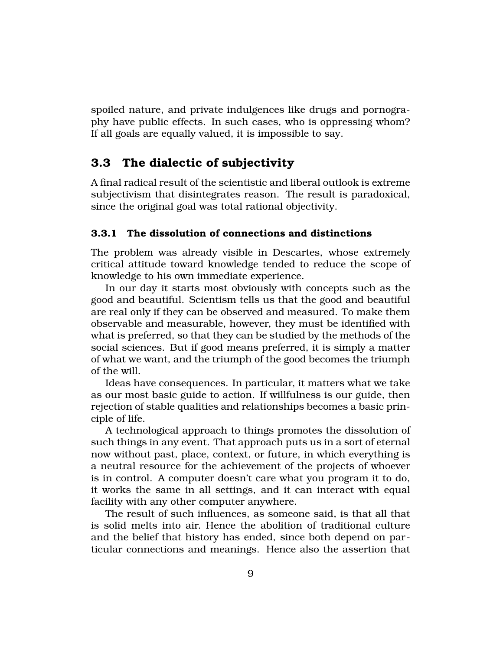spoiled nature, and private indulgences like drugs and pornography have public effects. In such cases, who is oppressing whom? If all goals are equally valued, it is impossible to say.

## **3.3 The dialectic of subjectivity**

A final radical result of the scientistic and liberal outlook is extreme subjectivism that disintegrates reason. The result is paradoxical, since the original goal was total rational objectivity.

#### **3.3.1 The dissolution of connections and distinctions**

The problem was already visible in Descartes, whose extremely critical attitude toward knowledge tended to reduce the scope of knowledge to his own immediate experience.

In our day it starts most obviously with concepts such as the good and beautiful. Scientism tells us that the good and beautiful are real only if they can be observed and measured. To make them observable and measurable, however, they must be identified with what is preferred, so that they can be studied by the methods of the social sciences. But if good means preferred, it is simply a matter of what we want, and the triumph of the good becomes the triumph of the will.

Ideas have consequences. In particular, it matters what we take as our most basic guide to action. If willfulness is our guide, then rejection of stable qualities and relationships becomes a basic principle of life.

A technological approach to things promotes the dissolution of such things in any event. That approach puts us in a sort of eternal now without past, place, context, or future, in which everything is a neutral resource for the achievement of the projects of whoever is in control. A computer doesn't care what you program it to do, it works the same in all settings, and it can interact with equal facility with any other computer anywhere.

The result of such influences, as someone said, is that all that is solid melts into air. Hence the abolition of traditional culture and the belief that history has ended, since both depend on particular connections and meanings. Hence also the assertion that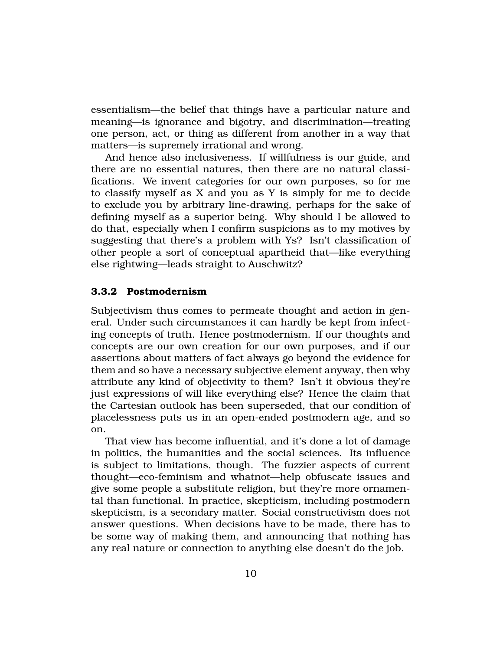essentialism—the belief that things have a particular nature and meaning—is ignorance and bigotry, and discrimination—treating one person, act, or thing as different from another in a way that matters—is supremely irrational and wrong.

And hence also inclusiveness. If willfulness is our guide, and there are no essential natures, then there are no natural classifications. We invent categories for our own purposes, so for me to classify myself as X and you as Y is simply for me to decide to exclude you by arbitrary line-drawing, perhaps for the sake of defining myself as a superior being. Why should I be allowed to do that, especially when I confirm suspicions as to my motives by suggesting that there's a problem with Ys? Isn't classification of other people a sort of conceptual apartheid that—like everything else rightwing—leads straight to Auschwitz?

#### **3.3.2 Postmodernism**

Subjectivism thus comes to permeate thought and action in general. Under such circumstances it can hardly be kept from infecting concepts of truth. Hence postmodernism. If our thoughts and concepts are our own creation for our own purposes, and if our assertions about matters of fact always go beyond the evidence for them and so have a necessary subjective element anyway, then why attribute any kind of objectivity to them? Isn't it obvious they're just expressions of will like everything else? Hence the claim that the Cartesian outlook has been superseded, that our condition of placelessness puts us in an open-ended postmodern age, and so on.

That view has become influential, and it's done a lot of damage in politics, the humanities and the social sciences. Its influence is subject to limitations, though. The fuzzier aspects of current thought—eco-feminism and whatnot—help obfuscate issues and give some people a substitute religion, but they're more ornamental than functional. In practice, skepticism, including postmodern skepticism, is a secondary matter. Social constructivism does not answer questions. When decisions have to be made, there has to be some way of making them, and announcing that nothing has any real nature or connection to anything else doesn't do the job.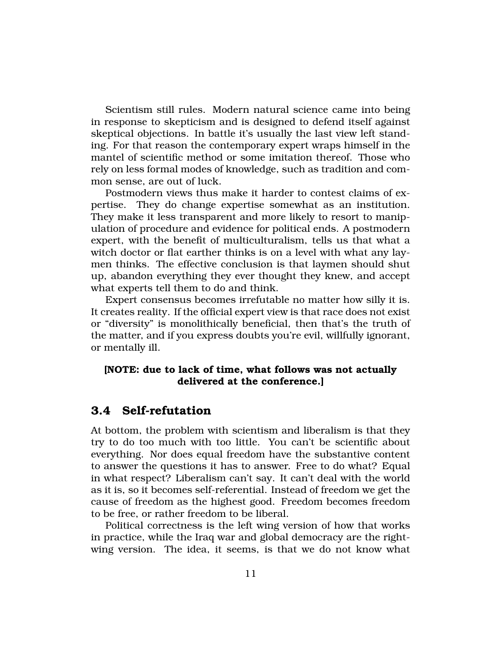Scientism still rules. Modern natural science came into being in response to skepticism and is designed to defend itself against skeptical objections. In battle it's usually the last view left standing. For that reason the contemporary expert wraps himself in the mantel of scientific method or some imitation thereof. Those who rely on less formal modes of knowledge, such as tradition and common sense, are out of luck.

Postmodern views thus make it harder to contest claims of expertise. They do change expertise somewhat as an institution. They make it less transparent and more likely to resort to manipulation of procedure and evidence for political ends. A postmodern expert, with the benefit of multiculturalism, tells us that what a witch doctor or flat earther thinks is on a level with what any laymen thinks. The effective conclusion is that laymen should shut up, abandon everything they ever thought they knew, and accept what experts tell them to do and think.

Expert consensus becomes irrefutable no matter how silly it is. It creates reality. If the official expert view is that race does not exist or "diversity" is monolithically beneficial, then that's the truth of the matter, and if you express doubts you're evil, willfully ignorant, or mentally ill.

### **[NOTE: due to lack of time, what follows was not actually delivered at the conference.]**

## **3.4 Self-refutation**

At bottom, the problem with scientism and liberalism is that they try to do too much with too little. You can't be scientific about everything. Nor does equal freedom have the substantive content to answer the questions it has to answer. Free to do what? Equal in what respect? Liberalism can't say. It can't deal with the world as it is, so it becomes self-referential. Instead of freedom we get the cause of freedom as the highest good. Freedom becomes freedom to be free, or rather freedom to be liberal.

Political correctness is the left wing version of how that works in practice, while the Iraq war and global democracy are the rightwing version. The idea, it seems, is that we do not know what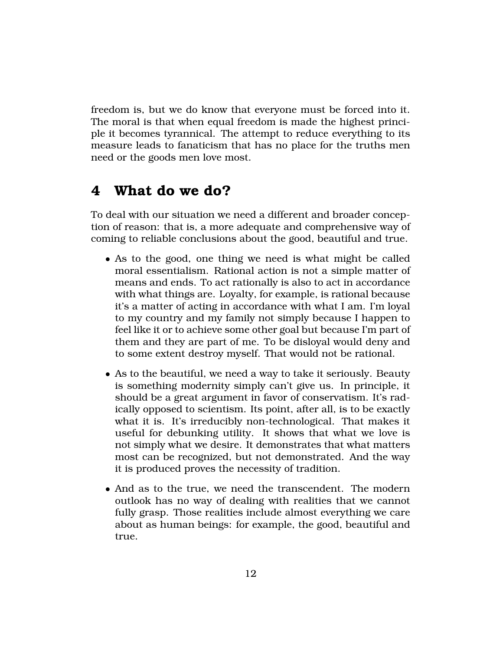freedom is, but we do know that everyone must be forced into it. The moral is that when equal freedom is made the highest principle it becomes tyrannical. The attempt to reduce everything to its measure leads to fanaticism that has no place for the truths men need or the goods men love most.

## **4 What do we do?**

To deal with our situation we need a different and broader conception of reason: that is, a more adequate and comprehensive way of coming to reliable conclusions about the good, beautiful and true.

- As to the good, one thing we need is what might be called moral essentialism. Rational action is not a simple matter of means and ends. To act rationally is also to act in accordance with what things are. Loyalty, for example, is rational because it's a matter of acting in accordance with what I am. I'm loyal to my country and my family not simply because I happen to feel like it or to achieve some other goal but because I'm part of them and they are part of me. To be disloyal would deny and to some extent destroy myself. That would not be rational.
- As to the beautiful, we need a way to take it seriously. Beauty is something modernity simply can't give us. In principle, it should be a great argument in favor of conservatism. It's radically opposed to scientism. Its point, after all, is to be exactly what it is. It's irreducibly non-technological. That makes it useful for debunking utility. It shows that what we love is not simply what we desire. It demonstrates that what matters most can be recognized, but not demonstrated. And the way it is produced proves the necessity of tradition.
- And as to the true, we need the transcendent. The modern outlook has no way of dealing with realities that we cannot fully grasp. Those realities include almost everything we care about as human beings: for example, the good, beautiful and true.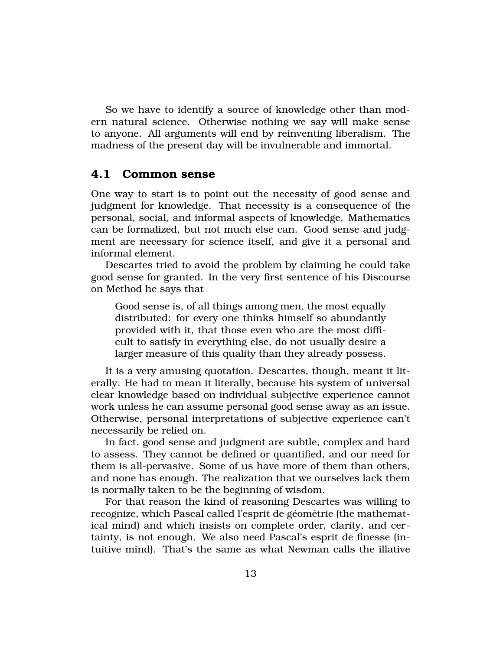So we have to identify a source of knowledge other than modern natural science. Otherwise nothing we say will make sense to anyone. All arguments will end by reinventing liberalism. The madness of the present day will be invulnerable and immortal.

#### **4.1 Common sense**

One way to start is to point out the necessity of good sense and judgment for knowledge. That necessity is a consequence of the personal, social, and informal aspects of knowledge. Mathematics can be formalized, but not much else can. Good sense and judgment are necessary for science itself, and give it a personal and informal element.

Descartes tried to avoid the problem by claiming he could take good sense for granted. In the very first sentence of his Discourse on Method he says that

Good sense is, of all things among men, the most equally distributed: for every one thinks himself so abundantly provided with it, that those even who are the most difficult to satisfy in everything else, do not usually desire a larger measure of this quality than they already possess.

It is a very amusing quotation. Descartes, though, meant it literally. He had to mean it literally, because his system of universal clear knowledge based on individual subjective experience cannot work unless he can assume personal good sense away as an issue. Otherwise, personal interpretations of subjective experience can't necessarily be relied on.

In fact, good sense and judgment are subtle, complex and hard to assess. They cannot be defined or quantified, and our need for them is all-pervasive. Some of us have more of them than others, and none has enough. The realization that we ourselves lack them is normally taken to be the beginning of wisdom.

For that reason the kind of reasoning Descartes was willing to recognize, which Pascal called l'esprit de géométrie (the mathematical mind) and which insists on complete order, clarity, and certainty, is not enough. We also need Pascal's esprit de finesse (intuitive mind). That's the same as what Newman calls the illative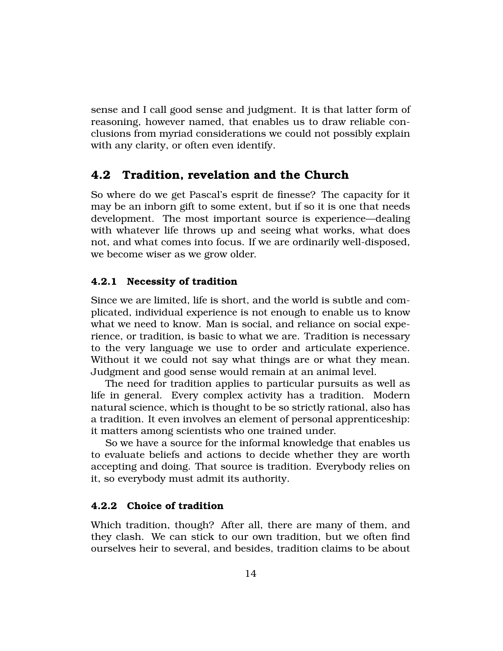sense and I call good sense and judgment. It is that latter form of reasoning, however named, that enables us to draw reliable conclusions from myriad considerations we could not possibly explain with any clarity, or often even identify.

## **4.2 Tradition, revelation and the Church**

So where do we get Pascal's esprit de finesse? The capacity for it may be an inborn gift to some extent, but if so it is one that needs development. The most important source is experience—dealing with whatever life throws up and seeing what works, what does not, and what comes into focus. If we are ordinarily well-disposed, we become wiser as we grow older.

#### **4.2.1 Necessity of tradition**

Since we are limited, life is short, and the world is subtle and complicated, individual experience is not enough to enable us to know what we need to know. Man is social, and reliance on social experience, or tradition, is basic to what we are. Tradition is necessary to the very language we use to order and articulate experience. Without it we could not say what things are or what they mean. Judgment and good sense would remain at an animal level.

The need for tradition applies to particular pursuits as well as life in general. Every complex activity has a tradition. Modern natural science, which is thought to be so strictly rational, also has a tradition. It even involves an element of personal apprenticeship: it matters among scientists who one trained under.

So we have a source for the informal knowledge that enables us to evaluate beliefs and actions to decide whether they are worth accepting and doing. That source is tradition. Everybody relies on it, so everybody must admit its authority.

#### **4.2.2 Choice of tradition**

Which tradition, though? After all, there are many of them, and they clash. We can stick to our own tradition, but we often find ourselves heir to several, and besides, tradition claims to be about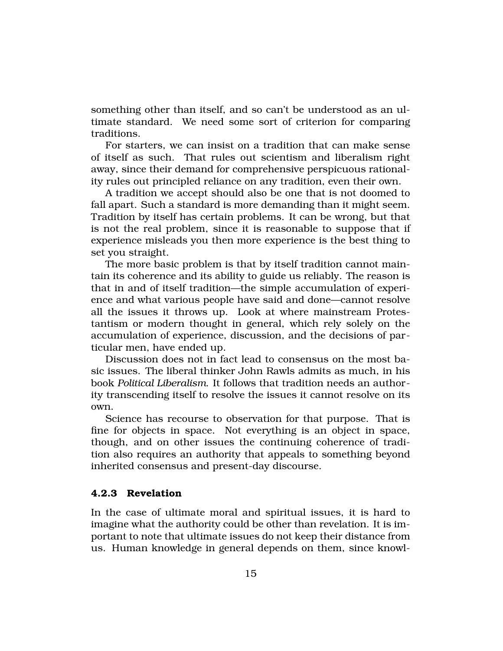something other than itself, and so can't be understood as an ultimate standard. We need some sort of criterion for comparing traditions.

For starters, we can insist on a tradition that can make sense of itself as such. That rules out scientism and liberalism right away, since their demand for comprehensive perspicuous rationality rules out principled reliance on any tradition, even their own.

A tradition we accept should also be one that is not doomed to fall apart. Such a standard is more demanding than it might seem. Tradition by itself has certain problems. It can be wrong, but that is not the real problem, since it is reasonable to suppose that if experience misleads you then more experience is the best thing to set you straight.

The more basic problem is that by itself tradition cannot maintain its coherence and its ability to guide us reliably. The reason is that in and of itself tradition—the simple accumulation of experience and what various people have said and done—cannot resolve all the issues it throws up. Look at where mainstream Protestantism or modern thought in general, which rely solely on the accumulation of experience, discussion, and the decisions of particular men, have ended up.

Discussion does not in fact lead to consensus on the most basic issues. The liberal thinker John Rawls admits as much, in his book *Political Liberalism*. It follows that tradition needs an authority transcending itself to resolve the issues it cannot resolve on its own.

Science has recourse to observation for that purpose. That is fine for objects in space. Not everything is an object in space, though, and on other issues the continuing coherence of tradition also requires an authority that appeals to something beyond inherited consensus and present-day discourse.

#### **4.2.3 Revelation**

In the case of ultimate moral and spiritual issues, it is hard to imagine what the authority could be other than revelation. It is important to note that ultimate issues do not keep their distance from us. Human knowledge in general depends on them, since knowl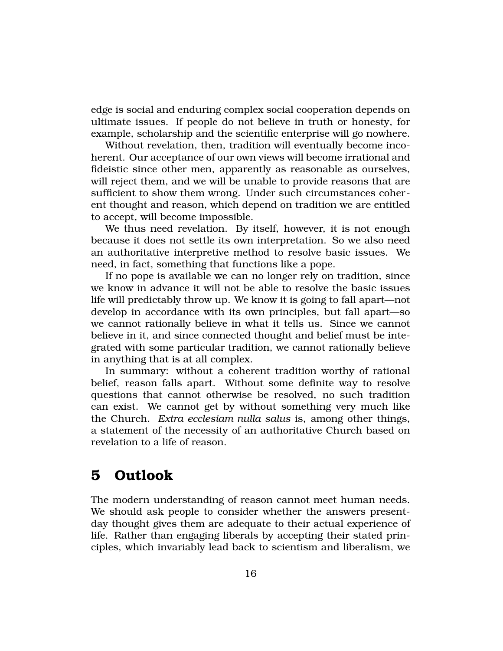edge is social and enduring complex social cooperation depends on ultimate issues. If people do not believe in truth or honesty, for example, scholarship and the scientific enterprise will go nowhere.

Without revelation, then, tradition will eventually become incoherent. Our acceptance of our own views will become irrational and fideistic since other men, apparently as reasonable as ourselves, will reject them, and we will be unable to provide reasons that are sufficient to show them wrong. Under such circumstances coherent thought and reason, which depend on tradition we are entitled to accept, will become impossible.

We thus need revelation. By itself, however, it is not enough because it does not settle its own interpretation. So we also need an authoritative interpretive method to resolve basic issues. We need, in fact, something that functions like a pope.

If no pope is available we can no longer rely on tradition, since we know in advance it will not be able to resolve the basic issues life will predictably throw up. We know it is going to fall apart—not develop in accordance with its own principles, but fall apart—so we cannot rationally believe in what it tells us. Since we cannot believe in it, and since connected thought and belief must be integrated with some particular tradition, we cannot rationally believe in anything that is at all complex.

In summary: without a coherent tradition worthy of rational belief, reason falls apart. Without some definite way to resolve questions that cannot otherwise be resolved, no such tradition can exist. We cannot get by without something very much like the Church. *Extra ecclesiam nulla salus* is, among other things, a statement of the necessity of an authoritative Church based on revelation to a life of reason.

## **5 Outlook**

The modern understanding of reason cannot meet human needs. We should ask people to consider whether the answers presentday thought gives them are adequate to their actual experience of life. Rather than engaging liberals by accepting their stated principles, which invariably lead back to scientism and liberalism, we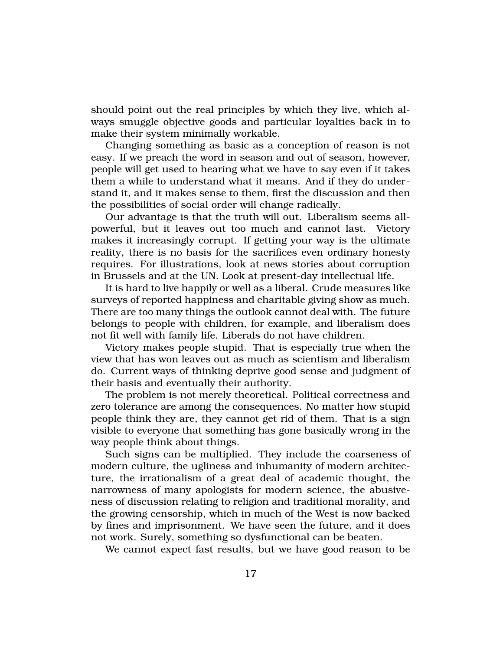should point out the real principles by which they live, which always smuggle objective goods and particular loyalties back in to make their system minimally workable.

Changing something as basic as a conception of reason is not easy. If we preach the word in season and out of season, however, people will get used to hearing what we have to say even if it takes them a while to understand what it means. And if they do understand it, and it makes sense to them, first the discussion and then the possibilities of social order will change radically.

Our advantage is that the truth will out. Liberalism seems allpowerful, but it leaves out too much and cannot last. Victory makes it increasingly corrupt. If getting your way is the ultimate reality, there is no basis for the sacrifices even ordinary honesty requires. For illustrations, look at news stories about corruption in Brussels and at the UN. Look at present-day intellectual life.

It is hard to live happily or well as a liberal. Crude measures like surveys of reported happiness and charitable giving show as much. There are too many things the outlook cannot deal with. The future belongs to people with children, for example, and liberalism does not fit well with family life. Liberals do not have children.

Victory makes people stupid. That is especially true when the view that has won leaves out as much as scientism and liberalism do. Current ways of thinking deprive good sense and judgment of their basis and eventually their authority.

The problem is not merely theoretical. Political correctness and zero tolerance are among the consequences. No matter how stupid people think they are, they cannot get rid of them. That is a sign visible to everyone that something has gone basically wrong in the way people think about things.

Such signs can be multiplied. They include the coarseness of modern culture, the ugliness and inhumanity of modern architecture, the irrationalism of a great deal of academic thought, the narrowness of many apologists for modern science, the abusiveness of discussion relating to religion and traditional morality, and the growing censorship, which in much of the West is now backed by fines and imprisonment. We have seen the future, and it does not work. Surely, something so dysfunctional can be beaten.

We cannot expect fast results, but we have good reason to be